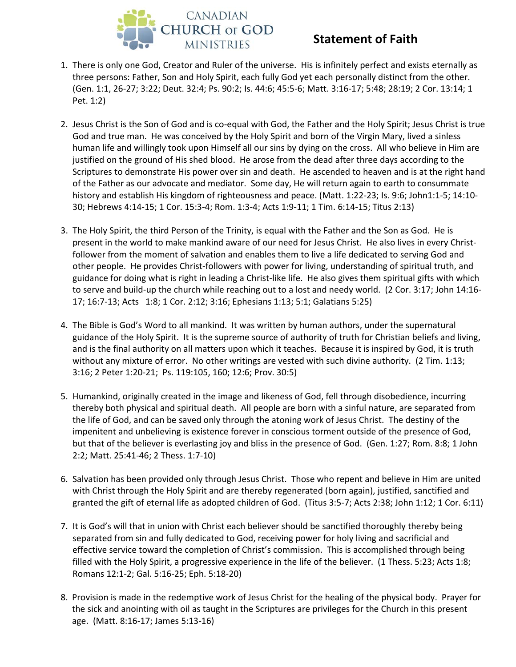

## **Statement of Faith**

- 1. There is only one God, Creator and Ruler of the universe. His is infinitely perfect and exists eternally as three persons: Father, Son and Holy Spirit, each fully God yet each personally distinct from the other. (Gen. 1:1, 26-27; 3:22; Deut. 32:4; Ps. 90:2; Is. 44:6; 45:5-6; Matt. 3:16-17; 5:48; 28:19; 2 Cor. 13:14; 1 Pet. 1:2)
- 2. Jesus Christ is the Son of God and is co-equal with God, the Father and the Holy Spirit; Jesus Christ is true God and true man. He was conceived by the Holy Spirit and born of the Virgin Mary, lived a sinless human life and willingly took upon Himself all our sins by dying on the cross. All who believe in Him are justified on the ground of His shed blood. He arose from the dead after three days according to the Scriptures to demonstrate His power over sin and death. He ascended to heaven and is at the right hand of the Father as our advocate and mediator. Some day, He will return again to earth to consummate history and establish His kingdom of righteousness and peace. (Matt. 1:22-23; Is. 9:6; John1:1-5; 14:10- 30; Hebrews 4:14-15; 1 Cor. 15:3-4; Rom. 1:3-4; Acts 1:9-11; 1 Tim. 6:14-15; Titus 2:13)
- 3. The Holy Spirit, the third Person of the Trinity, is equal with the Father and the Son as God. He is present in the world to make mankind aware of our need for Jesus Christ. He also lives in every Christfollower from the moment of salvation and enables them to live a life dedicated to serving God and other people. He provides Christ-followers with power for living, understanding of spiritual truth, and guidance for doing what is right in leading a Christ-like life. He also gives them spiritual gifts with which to serve and build-up the church while reaching out to a lost and needy world. (2 Cor. 3:17; John 14:16- 17; 16:7-13; Acts 1:8; 1 Cor. 2:12; 3:16; Ephesians 1:13; 5:1; Galatians 5:25)
- 4. The Bible is God's Word to all mankind. It was written by human authors, under the supernatural guidance of the Holy Spirit. It is the supreme source of authority of truth for Christian beliefs and living, and is the final authority on all matters upon which it teaches. Because it is inspired by God, it is truth without any mixture of error. No other writings are vested with such divine authority. (2 Tim. 1:13; 3:16; 2 Peter 1:20-21; Ps. 119:105, 160; 12:6; Prov. 30:5)
- 5. Humankind, originally created in the image and likeness of God, fell through disobedience, incurring thereby both physical and spiritual death. All people are born with a sinful nature, are separated from the life of God, and can be saved only through the atoning work of Jesus Christ. The destiny of the impenitent and unbelieving is existence forever in conscious torment outside of the presence of God, but that of the believer is everlasting joy and bliss in the presence of God. (Gen. 1:27; Rom. 8:8; 1 John 2:2; Matt. 25:41-46; 2 Thess. 1:7-10)
- 6. Salvation has been provided only through Jesus Christ. Those who repent and believe in Him are united with Christ through the Holy Spirit and are thereby regenerated (born again), justified, sanctified and granted the gift of eternal life as adopted children of God. (Titus 3:5-7; Acts 2:38; John 1:12; 1 Cor. 6:11)
- 7. It is God's will that in union with Christ each believer should be sanctified thoroughly thereby being separated from sin and fully dedicated to God, receiving power for holy living and sacrificial and effective service toward the completion of Christ's commission. This is accomplished through being filled with the Holy Spirit, a progressive experience in the life of the believer. (1 Thess. 5:23; Acts 1:8; Romans 12:1-2; Gal. 5:16-25; Eph. 5:18-20)
- 8. Provision is made in the redemptive work of Jesus Christ for the healing of the physical body. Prayer for the sick and anointing with oil as taught in the Scriptures are privileges for the Church in this present age. (Matt. 8:16-17; James 5:13-16)